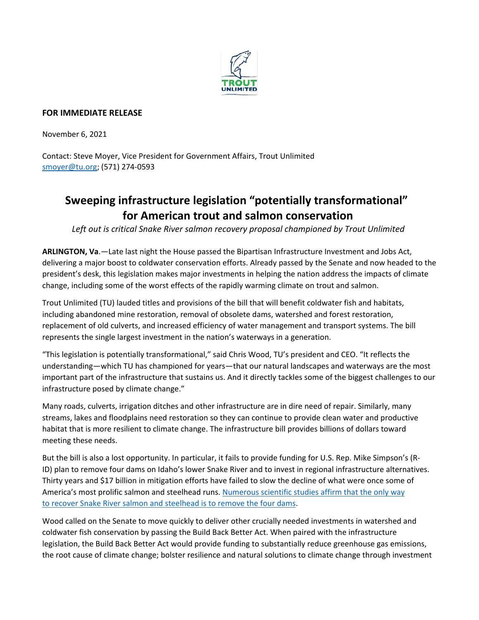

## **FOR IMMEDIATE RELEASE**

November 6, 2021

Contact: Steve Moyer, Vice President for Government Affairs, Trout Unlimited [smoyer@tu.org;](mailto:smoyer@tu.org) (571) 274-0593

## **Sweeping infrastructure legislation "potentially transformational" for American trout and salmon conservation**

*Left out is critical Snake River salmon recovery proposal championed by Trout Unlimited*

**ARLINGTON, Va**.—Late last night the House passed the Bipartisan Infrastructure Investment and Jobs Act, delivering a major boost to coldwater conservation efforts. Already passed by the Senate and now headed to the president's desk, this legislation makes major investments in helping the nation address the impacts of climate change, including some of the worst effects of the rapidly warming climate on trout and salmon.

Trout Unlimited (TU) lauded titles and provisions of the bill that will benefit coldwater fish and habitats, including abandoned mine restoration, removal of obsolete dams, watershed and forest restoration, replacement of old culverts, and increased efficiency of water management and transport systems. The bill represents the single largest investment in the nation's waterways in a generation.

"This legislation is potentially transformational," said Chris Wood, TU's president and CEO. "It reflects the understanding—which TU has championed for years—that our natural landscapes and waterways are the most important part of the infrastructure that sustains us. And it directly tackles some of the biggest challenges to our infrastructure posed by climate change."

Many roads, culverts, irrigation ditches and other infrastructure are in dire need of repair. Similarly, many streams, lakes and floodplains need restoration so they can continue to provide clean water and productive habitat that is more resilient to climate change. The infrastructure bill provides billions of dollars toward meeting these needs.

But the bill is also a lost opportunity. In particular, it fails to provide funding for U.S. Rep. Mike Simpson's (R-ID) plan to remove four dams on Idaho's lower Snake River and to invest in regional infrastructure alternatives. Thirty years and \$17 billion in mitigation efforts have failed to slow the decline of what were once some of America's most prolific salmon and steelhead runs. [Numerous scientific studies affirm that the only](https://www.tu.org/scientific-case-lower-snake) way to recover [Snake River salmon and steelhead is to remove the four dams.](https://www.tu.org/scientific-case-lower-snake)

Wood called on the Senate to move quickly to deliver other crucially needed investments in watershed and coldwater fish conservation by passing the Build Back Better Act. When paired with the infrastructure legislation, the Build Back Better Act would provide funding to substantially reduce greenhouse gas emissions, the root cause of climate change; bolster resilience and natural solutions to climate change through investment